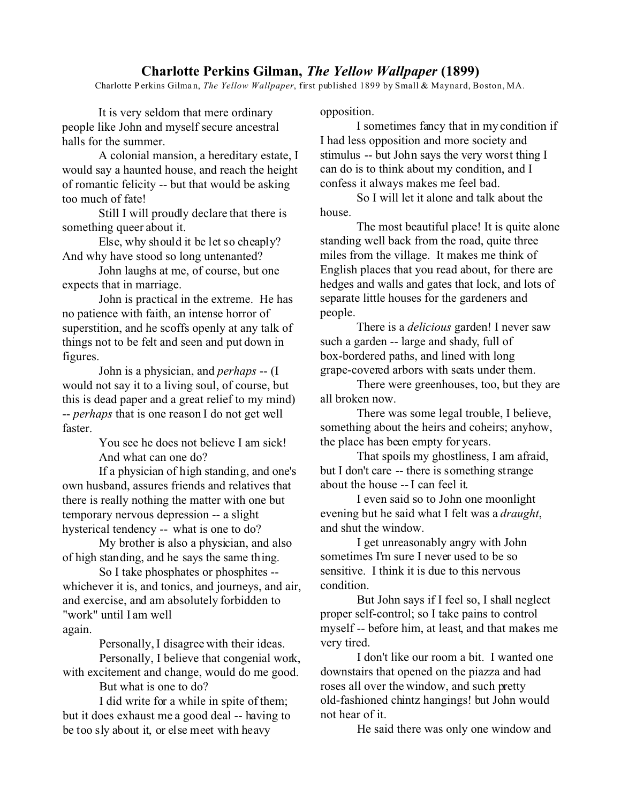## **Charlotte Perkins Gilman,** *The Yellow Wallpaper* **(1899)**

Charlotte P erkins Gilma n, *The Yellow Wallpaper*, first published 1899 by Small & Maynard, Boston, MA.

It is very seldom that mere ordinary people like John and myself secure ancestral halls for the summer.

A colonial mansion, a hereditary estate, I would say a haunted house, and reach the height of romantic felicity -- but that would be asking too much of fate!

Still I will proudly declare that there is something queer about it.

Else, why should it be let so cheaply? And why have stood so long untenanted?

John laughs at me, of course, but one expects that in marriage.

John is practical in the extreme. He has no patience with faith, an intense horror of superstition, and he scoffs openly at any talk of things not to be felt and seen and put down in figures.

John is a physician, and *perhaps* -- (I would not say it to a living soul, of course, but this is dead paper and a great relief to my mind) -- *perhaps* that is one reason I do not get well faster.

> You see he does not believe I am sick! And what can one do?

If a physician of high standing, and one's own husband, assures friends and relatives that there is really nothing the matter with one but temporary nervous depression -- a slight hysterical tendency -- what is one to do?

My brother is also a physician, and also of high standing, and he says the same thing.

So I take phosphates or phosphites - whichever it is, and tonics, and journeys, and air, and exercise, and am absolutely forbidden to "work" until I am well again.

Personally, I disagree with their ideas.

Personally, I believe that congenial work, with excitement and change, would do me good.

But what is one to do?

I did write for a while in spite of them; but it does exhaust me a good deal -- having to be too sly about it, or else meet with heavy

opposition.

I sometimes fancy that in my condition if I had less opposition and more society and stimulus -- but John says the very worst thing I can do is to think about my condition, and I confess it always makes me feel bad.

So I will let it alone and talk about the house.

The most beautiful place! It is quite alone standing well back from the road, quite three miles from the village. It makes me think of English places that you read about, for there are hedges and walls and gates that lock, and lots of separate little houses for the gardeners and people.

There is a *delicious* garden! I never saw such a garden -- large and shady, full of box-bordered paths, and lined with long grape-covered arbors with seats under them.

There were greenhouses, too, but they are all broken now.

There was some legal trouble, I believe, something about the heirs and coheirs; anyhow, the place has been empty for years.

That spoils my ghostliness, I am afraid, but I don't care -- there is something strange about the house -- I can feel it.

I even said so to John one moonlight evening but he said what I felt was a *draught*, and shut the window.

I get unreasonably angry with John sometimes I'm sure I never used to be so sensitive. I think it is due to this nervous condition.

But John says if I feel so, I shall neglect proper self-control; so I take pains to control myself -- before him, at least, and that makes me very tired.

I don't like our room a bit. I wanted one downstairs that opened on the piazza and had roses all over the window, and such pretty old-fashioned chintz hangings! but John would not hear of it.

He said there was only one window and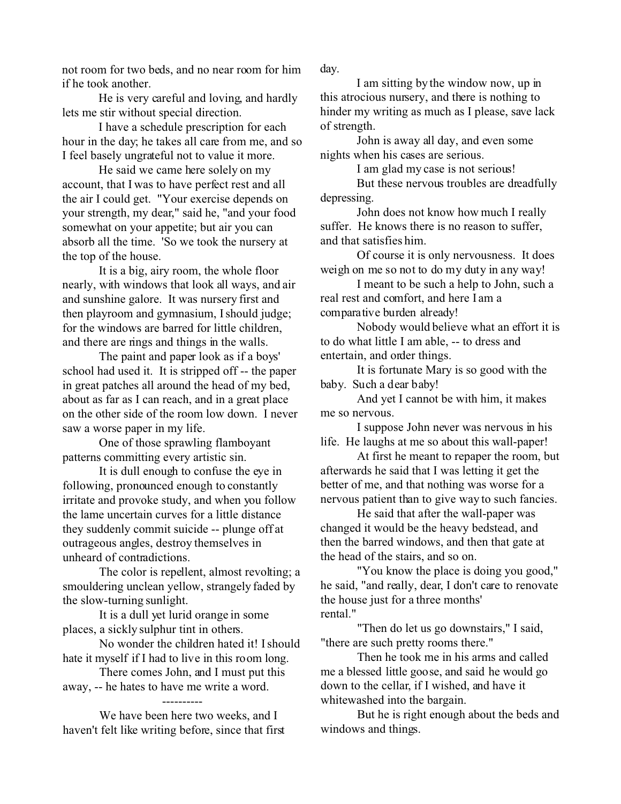not room for two beds, and no near room for him if he took another.

He is very careful and loving, and hardly lets me stir without special direction.

I have a schedule prescription for each hour in the day; he takes all care from me, and so I feel basely ungrateful not to value it more.

He said we came here solely on my account, that I was to have perfect rest and all the air I could get. "Your exercise depends on your strength, my dear," said he, "and your food somewhat on your appetite; but air you can absorb all the time. 'So we took the nursery at the top of the house.

It is a big, airy room, the whole floor nearly, with windows that look all ways, and air and sunshine galore. It was nursery first and then playroom and gymnasium, I should judge; for the windows are barred for little children, and there are rings and things in the walls.

The paint and paper look as if a boys' school had used it. It is stripped off -- the paper in great patches all around the head of my bed, about as far as I can reach, and in a great place on the other side of the room low down. I never saw a worse paper in my life.

One of those sprawling flamboyant patterns committing every artistic sin.

It is dull enough to confuse the eye in following, pronounced enough to constantly irritate and provoke study, and when you follow the lame uncertain curves for a little distance they suddenly commit suicide -- plunge off at outrageous angles, destroy themselves in unheard of contradictions.

The color is repellent, almost revolting; a smouldering unclean yellow, strangely faded by the slow-turning sunlight.

It is a dull yet lurid orange in some places, a sickly sulphur tint in others.

No wonder the children hated it! I should hate it myself if I had to live in this room long.

There comes John, and I must put this away, -- he hates to have me write a word.

We have been here two weeks, and I haven't felt like writing before, since that first day.

I am sitting by the window now, up in this atrocious nursery, and there is nothing to hinder my writing as much as I please, save lack of strength.

John is away all day, and even some nights when his cases are serious.

I am glad my case is not serious!

But these nervous troubles are dreadfully depressing.

John does not know how much I really suffer. He knows there is no reason to suffer, and that satisfies him.

Of course it is only nervousness. It does weigh on me so not to do my duty in any way!

I meant to be such a help to John, such a real rest and comfort, and here I am a comparative burden already!

Nobody would believe what an effort it is to do what little I am able, -- to dress and entertain, and order things.

It is fortunate Mary is so good with the baby. Such a dear baby!

And yet I cannot be with him, it makes me so nervous.

I suppose John never was nervous in his life. He laughs at me so about this wall-paper!

At first he meant to repaper the room, but afterwards he said that I was letting it get the better of me, and that nothing was worse for a nervous patient than to give way to such fancies.

He said that after the wall-paper was changed it would be the heavy bedstead, and then the barred windows, and then that gate at the head of the stairs, and so on.

"You know the place is doing you good," he said, "and really, dear, I don't care to renovate the house just for a three months' rental."

"Then do let us go downstairs," I said, "there are such pretty rooms there."

Then he took me in his arms and called me a blessed little goose, and said he would go down to the cellar, if I wished, and have it whitewashed into the bargain.

But he is right enough about the beds and windows and things.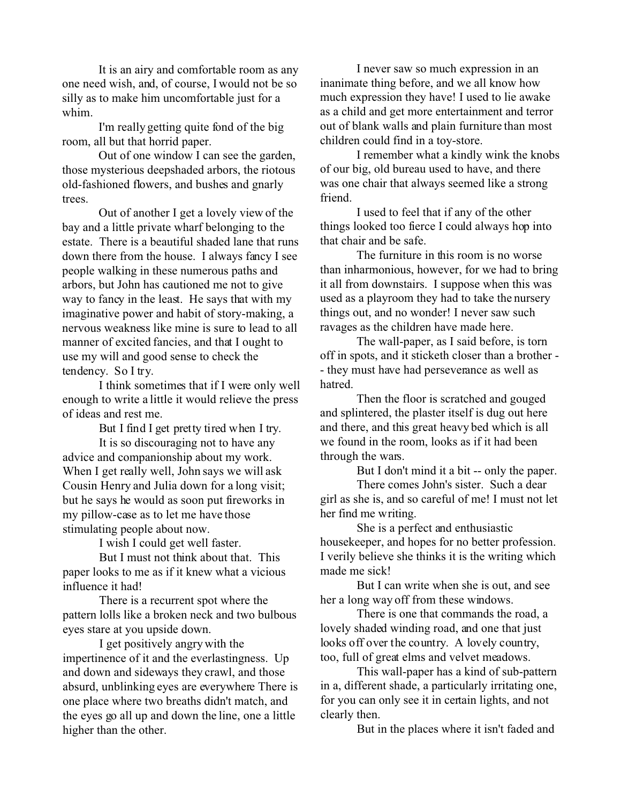It is an airy and comfortable room as any one need wish, and, of course, I would not be so silly as to make him uncomfortable just for a whim.

I'm really getting quite fond of the big room, all but that horrid paper.

Out of one window I can see the garden, those mysterious deepshaded arbors, the riotous old-fashioned flowers, and bushes and gnarly trees.

Out of another I get a lovely view of the bay and a little private wharf belonging to the estate. There is a beautiful shaded lane that runs down there from the house. I always fancy I see people walking in these numerous paths and arbors, but John has cautioned me not to give way to fancy in the least. He says that with my imaginative power and habit of story-making, a nervous weakness like mine is sure to lead to all manner of excited fancies, and that I ought to use my will and good sense to check the tendency. So I try.

I think sometimes that if I were only well enough to write a little it would relieve the press of ideas and rest me.

But I find I get pretty tired when I try.

It is so discouraging not to have any advice and companionship about my work. When I get really well, John says we will ask Cousin Henry and Julia down for a long visit; but he says he would as soon put fireworks in my pillow-case as to let me have those stimulating people about now.

I wish I could get well faster.

But I must not think about that. This paper looks to me as if it knew what a vicious influence it had!

There is a recurrent spot where the pattern lolls like a broken neck and two bulbous eyes stare at you upside down.

I get positively angry with the impertinence of it and the everlastingness. Up and down and sideways they crawl, and those absurd, unblinking eyes are everywhere There is one place where two breaths didn't match, and the eyes go all up and down the line, one a little higher than the other.

I never saw so much expression in an inanimate thing before, and we all know how much expression they have! I used to lie awake as a child and get more entertainment and terror out of blank walls and plain furniture than most children could find in a toy-store.

I remember what a kindly wink the knobs of our big, old bureau used to have, and there was one chair that always seemed like a strong friend.

I used to feel that if any of the other things looked too fierce I could always hop into that chair and be safe.

The furniture in this room is no worse than inharmonious, however, for we had to bring it all from downstairs. I suppose when this was used as a playroom they had to take the nursery things out, and no wonder! I never saw such ravages as the children have made here.

The wall-paper, as I said before, is torn off in spots, and it sticketh closer than a brother - - they must have had perseverance as well as hatred.

Then the floor is scratched and gouged and splintered, the plaster itself is dug out here and there, and this great heavy bed which is all we found in the room, looks as if it had been through the wars.

But I don't mind it a bit -- only the paper.

There comes John's sister. Such a dear girl as she is, and so careful of me! I must not let her find me writing.

She is a perfect and enthusiastic housekeeper, and hopes for no better profession. I verily believe she thinks it is the writing which made me sick!

But I can write when she is out, and see her a long way off from these windows.

There is one that commands the road, a lovely shaded winding road, and one that just looks off over the country. A lovely country, too, full of great elms and velvet meadows.

This wall-paper has a kind of sub-pattern in a, different shade, a particularly irritating one, for you can only see it in certain lights, and not clearly then.

But in the places where it isn't faded and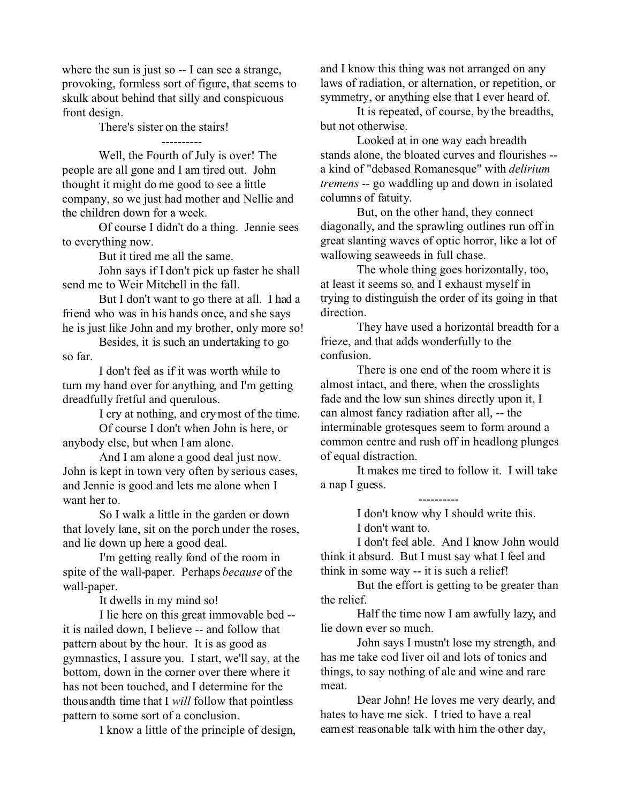where the sun is just so -- I can see a strange, provoking, formless sort of figure, that seems to skulk about behind that silly and conspicuous front design.

There's sister on the stairs!

 ---------- Well, the Fourth of July is over! The people are all gone and I am tired out. John thought it might do me good to see a little company, so we just had mother and Nellie and the children down for a week.

Of course I didn't do a thing. Jennie sees to everything now.

But it tired me all the same.

John says if I don't pick up faster he shall send me to Weir Mitchell in the fall.

But I don't want to go there at all. I had a friend who was in his hands once, and she says he is just like John and my brother, only more so!

Besides, it is such an undertaking to go so far.

I don't feel as if it was worth while to turn my hand over for anything, and I'm getting dreadfully fretful and querulous.

I cry at nothing, and cry most of the time.

Of course I don't when John is here, or anybody else, but when I am alone.

And I am alone a good deal just now. John is kept in town very often by serious cases, and Jennie is good and lets me alone when I want her to.

So I walk a little in the garden or down that lovely lane, sit on the porch under the roses, and lie down up here a good deal.

I'm getting really fond of the room in spite of the wall-paper. Perhaps *because* of the wall-paper.

It dwells in my mind so!

I lie here on this great immovable bed - it is nailed down, I believe -- and follow that pattern about by the hour. It is as good as gymnastics, I assure you. I start, we'll say, at the bottom, down in the corner over there where it has not been touched, and I determine for the thousandth time that I *will* follow that pointless pattern to some sort of a conclusion.

I know a little of the principle of design,

and I know this thing was not arranged on any laws of radiation, or alternation, or repetition, or symmetry, or anything else that I ever heard of.

It is repeated, of course, by the breadths, but not otherwise.

Looked at in one way each breadth stands alone, the bloated curves and flourishes - a kind of "debased Romanesque" with *delirium tremens* -- go waddling up and down in isolated columns of fatuity.

But, on the other hand, they connect diagonally, and the sprawling outlines run off in great slanting waves of optic horror, like a lot of wallowing seaweeds in full chase.

The whole thing goes horizontally, too, at least it seems so, and I exhaust myself in trying to distinguish the order of its going in that direction.

They have used a horizontal breadth for a frieze, and that adds wonderfully to the confusion.

There is one end of the room where it is almost intact, and there, when the crosslights fade and the low sun shines directly upon it, I can almost fancy radiation after all, -- the interminable grotesques seem to form around a common centre and rush off in headlong plunges of equal distraction.

It makes me tired to follow it. I will take a nap I guess.

----------

I don't know why I should write this.

I don't want to.

I don't feel able. And I know John would think it absurd. But I must say what I feel and think in some way -- it is such a relief!

But the effort is getting to be greater than the relief.

Half the time now I am awfully lazy, and lie down ever so much.

John says I mustn't lose my strength, and has me take cod liver oil and lots of tonics and things, to say nothing of ale and wine and rare meat.

Dear John! He loves me very dearly, and hates to have me sick. I tried to have a real earnest reasonable talk with him the other day,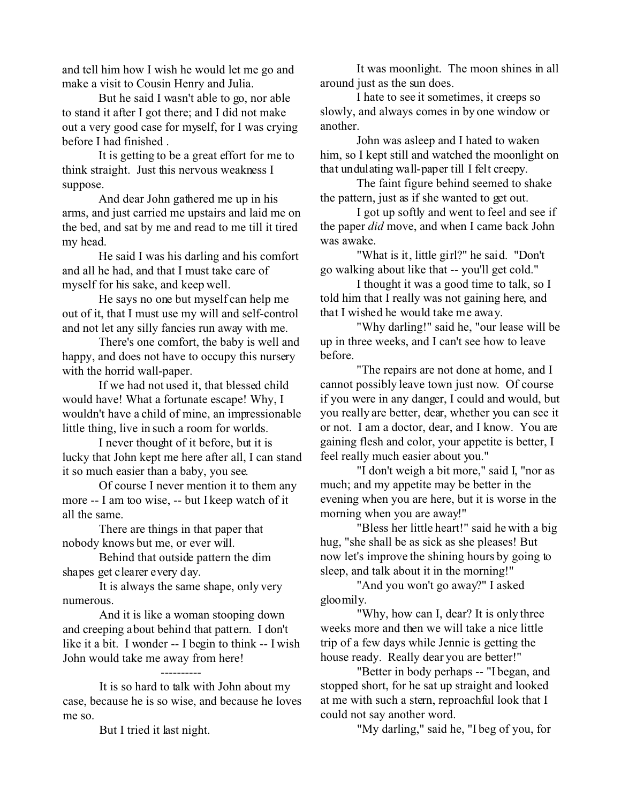and tell him how I wish he would let me go and make a visit to Cousin Henry and Julia.

But he said I wasn't able to go, nor able to stand it after I got there; and I did not make out a very good case for myself, for I was crying before I had finished .

It is getting to be a great effort for me to think straight. Just this nervous weakness I suppose.

And dear John gathered me up in his arms, and just carried me upstairs and laid me on the bed, and sat by me and read to me till it tired my head.

He said I was his darling and his comfort and all he had, and that I must take care of myself for his sake, and keep well.

He says no one but myself can help me out of it, that I must use my will and self-control and not let any silly fancies run away with me.

There's one comfort, the baby is well and happy, and does not have to occupy this nursery with the horrid wall-paper.

If we had not used it, that blessed child would have! What a fortunate escape! Why, I wouldn't have a child of mine, an impressionable little thing, live in such a room for worlds.

I never thought of it before, but it is lucky that John kept me here after all, I can stand it so much easier than a baby, you see.

Of course I never mention it to them any more -- I am too wise, -- but I keep watch of it all the same.

There are things in that paper that nobody knows but me, or ever will.

Behind that outside pattern the dim shapes get clearer every day.

It is always the same shape, only very numerous.

And it is like a woman stooping down and creeping about behind that pattern. I don't like it a bit. I wonder -- I begin to think -- I wish John would take me away from here!

It is so hard to talk with John about my case, because he is so wise, and because he loves me so.

----------

But I tried it last night.

It was moonlight. The moon shines in all around just as the sun does.

I hate to see it sometimes, it creeps so slowly, and always comes in by one window or another.

John was asleep and I hated to waken him, so I kept still and watched the moonlight on that undulating wall-paper till I felt creepy.

The faint figure behind seemed to shake the pattern, just as if she wanted to get out.

I got up softly and went to feel and see if the paper *did* move, and when I came back John was awake.

"What is it, little girl?" he said. "Don't go walking about like that -- you'll get cold."

I thought it was a good time to talk, so I told him that I really was not gaining here, and that I wished he would take me away.

"Why darling!" said he, "our lease will be up in three weeks, and I can't see how to leave before.

"The repairs are not done at home, and I cannot possibly leave town just now. Of course if you were in any danger, I could and would, but you really are better, dear, whether you can see it or not. I am a doctor, dear, and I know. You are gaining flesh and color, your appetite is better, I feel really much easier about you."

"I don't weigh a bit more," said I, "nor as much; and my appetite may be better in the evening when you are here, but it is worse in the morning when you are away!"

"Bless her little heart!" said he with a big hug, "she shall be as sick as she pleases! But now let's improve the shining hours by going to sleep, and talk about it in the morning!"

"And you won't go away?" I asked gloomily.

"Why, how can I, dear? It is only three weeks more and then we will take a nice little trip of a few days while Jennie is getting the house ready. Really dear you are better!"

"Better in body perhaps -- "I began, and stopped short, for he sat up straight and looked at me with such a stern, reproachful look that I could not say another word.

"My darling," said he, "I beg of you, for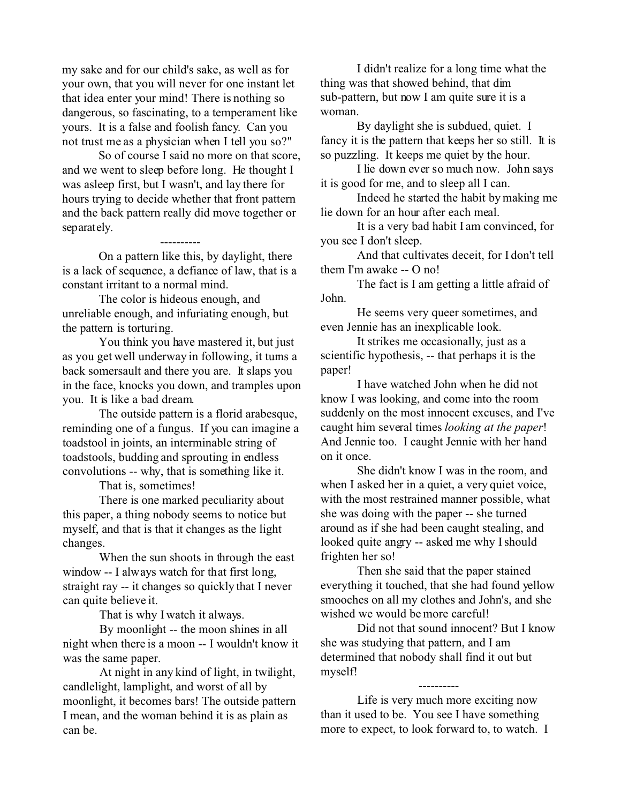my sake and for our child's sake, as well as for your own, that you will never for one instant let that idea enter your mind! There is nothing so dangerous, so fascinating, to a temperament like yours. It is a false and foolish fancy. Can you not trust me as a physician when I tell you so?"

So of course I said no more on that score, and we went to sleep before long. He thought I was asleep first, but I wasn't, and lay there for hours trying to decide whether that front pattern and the back pattern really did move together or separately.

 ---------- On a pattern like this, by daylight, there is a lack of sequence, a defiance of law, that is a constant irritant to a normal mind.

The color is hideous enough, and unreliable enough, and infuriating enough, but the pattern is torturing.

You think you have mastered it, but just as you get well underway in following, it turns a back somersault and there you are. It slaps you in the face, knocks you down, and tramples upon you. It is like a bad dream.

The outside pattern is a florid arabesque, reminding one of a fungus. If you can imagine a toadstool in joints, an interminable string of toadstools, budding and sprouting in endless convolutions -- why, that is something like it.

That is, sometimes!

There is one marked peculiarity about this paper, a thing nobody seems to notice but myself, and that is that it changes as the light changes.

When the sun shoots in through the east window -- I always watch for that first long, straight ray -- it changes so quickly that I never can quite believe it.

That is why I watch it always.

By moonlight -- the moon shines in all night when there is a moon -- I wouldn't know it was the same paper.

At night in any kind of light, in twilight, candlelight, lamplight, and worst of all by moonlight, it becomes bars! The outside pattern I mean, and the woman behind it is as plain as can be.

I didn't realize for a long time what the thing was that showed behind, that dim sub-pattern, but now I am quite sure it is a woman.

By daylight she is subdued, quiet. I fancy it is the pattern that keeps her so still. It is so puzzling. It keeps me quiet by the hour.

I lie down ever so much now. John says it is good for me, and to sleep all I can.

Indeed he started the habit by making me lie down for an hour after each meal.

It is a very bad habit I am convinced, for you see I don't sleep.

And that cultivates deceit, for I don't tell them I'm awake -- O no!

The fact is I am getting a little afraid of John.

He seems very queer sometimes, and even Jennie has an inexplicable look.

It strikes me occasionally, just as a scientific hypothesis, -- that perhaps it is the paper!

I have watched John when he did not know I was looking, and come into the room suddenly on the most innocent excuses, and I've caught him several times *looking at the paper*! And Jennie too. I caught Jennie with her hand on it once.

She didn't know I was in the room, and when I asked her in a quiet, a very quiet voice, with the most restrained manner possible, what she was doing with the paper -- she turned around as if she had been caught stealing, and looked quite angry -- asked me why I should frighten her so!

Then she said that the paper stained everything it touched, that she had found yellow smooches on all my clothes and John's, and she wished we would be more careful!

Did not that sound innocent? But I know she was studying that pattern, and I am determined that nobody shall find it out but myself!

 ---------- Life is very much more exciting now than it used to be. You see I have something more to expect, to look forward to, to watch. I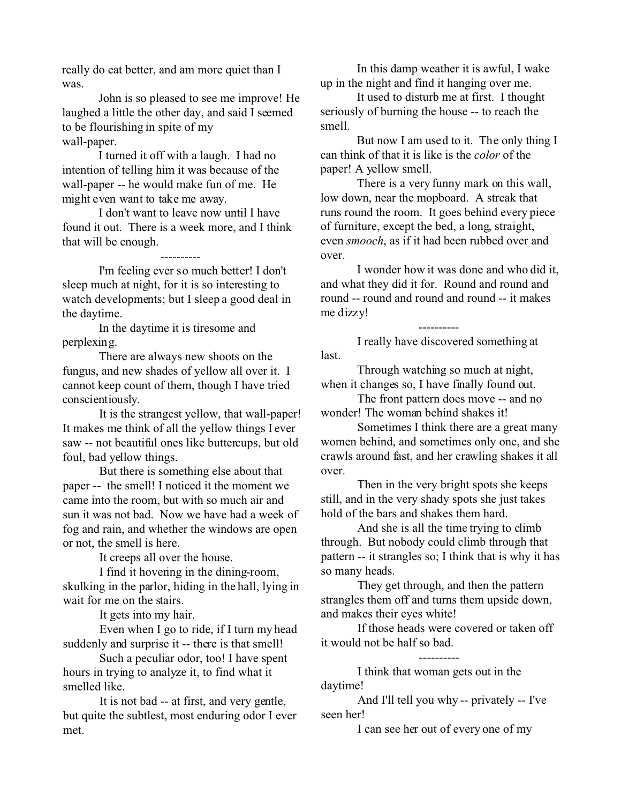really do eat better, and am more quiet than I was.

John is so pleased to see me improve! He laughed a little the other day, and said I seemed to be flourishing in spite of my wall-paper.

I turned it off with a laugh. I had no intention of telling him it was because of the wall-paper -- he would make fun of me. He might even want to take me away.

I don't want to leave now until I have found it out. There is a week more, and I think that will be enough.

 ---------- I'm feeling ever so much better! I don't sleep much at night, for it is so interesting to watch developments; but I sleep a good deal in the daytime.

In the daytime it is tiresome and perplexing.

There are always new shoots on the fungus, and new shades of yellow all over it. I cannot keep count of them, though I have tried conscientiously.

It is the strangest yellow, that wall-paper! It makes me think of all the yellow things I ever saw -- not beautiful ones like buttercups, but old foul, bad yellow things.

But there is something else about that paper -- the smell! I noticed it the moment we came into the room, but with so much air and sun it was not bad. Now we have had a week of fog and rain, and whether the windows are open or not, the smell is here.

It creeps all over the house.

I find it hovering in the dining-room, skulking in the parlor, hiding in the hall, lying in wait for me on the stairs.

It gets into my hair.

Even when I go to ride, if I turn my head suddenly and surprise it -- there is that smell!

Such a peculiar odor, too! I have spent hours in trying to analyze it, to find what it smelled like.

It is not bad -- at first, and very gentle, but quite the subtlest, most enduring odor I ever met.

In this damp weather it is awful, I wake up in the night and find it hanging over me.

It used to disturb me at first. I thought seriously of burning the house -- to reach the smell.

But now I am used to it. The only thing I can think of that it is like is the *color* of the paper! A yellow smell.

There is a very funny mark on this wall, low down, near the mopboard. A streak that runs round the room. It goes behind every piece of furniture, except the bed, a long, straight, even *smooch*, as if it had been rubbed over and over.

I wonder how it was done and who did it, and what they did it for. Round and round and round -- round and round and round -- it makes me dizzy!

 ---------- I really have discovered something at last.

Through watching so much at night, when it changes so, I have finally found out.

The front pattern does move -- and no wonder! The woman behind shakes it!

Sometimes I think there are a great many women behind, and sometimes only one, and she crawls around fast, and her crawling shakes it all over.

Then in the very bright spots she keeps still, and in the very shady spots she just takes hold of the bars and shakes them hard.

And she is all the time trying to climb through. But nobody could climb through that pattern -- it strangles so; I think that is why it has so many heads.

They get through, and then the pattern strangles them off and turns them upside down, and makes their eyes white!

If those heads were covered or taken off it would not be half so bad.

 ---------- I think that woman gets out in the daytime!

And I'll tell you why -- privately -- I've seen her!

I can see her out of every one of my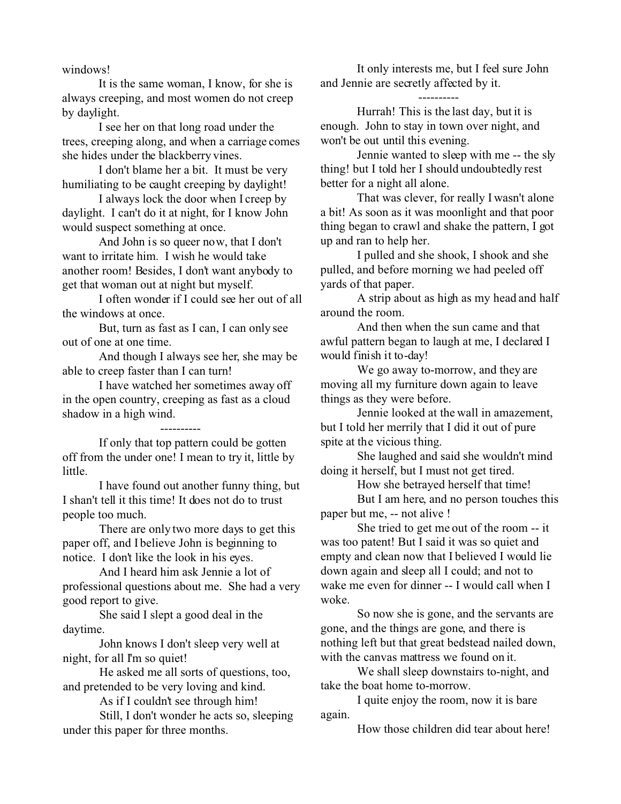windows!

It is the same woman, I know, for she is always creeping, and most women do not creep by daylight.

I see her on that long road under the trees, creeping along, and when a carriage comes she hides under the blackberry vines.

I don't blame her a bit. It must be very humiliating to be caught creeping by daylight!

I always lock the door when I creep by daylight. I can't do it at night, for I know John would suspect something at once.

And John is so queer now, that I don't want to irritate him. I wish he would take another room! Besides, I don't want anybody to get that woman out at night but myself.

I often wonder if I could see her out of all the windows at once.

But, turn as fast as I can, I can only see out of one at one time.

And though I always see her, she may be able to creep faster than I can turn!

I have watched her sometimes away off in the open country, creeping as fast as a cloud shadow in a high wind.

----------

If only that top pattern could be gotten off from the under one! I mean to try it, little by little.

I have found out another funny thing, but I shan't tell it this time! It does not do to trust people too much.

There are only two more days to get this paper off, and I believe John is beginning to notice. I don't like the look in his eyes.

And I heard him ask Jennie a lot of professional questions about me. She had a very good report to give.

She said I slept a good deal in the daytime.

John knows I don't sleep very well at night, for all I'm so quiet!

He asked me all sorts of questions, too, and pretended to be very loving and kind.

As if I couldn't see through him!

Still, I don't wonder he acts so, sleeping under this paper for three months.

It only interests me, but I feel sure John and Jennie are secretly affected by it.

 ---------- Hurrah! This is the last day, but it is enough. John to stay in town over night, and won't be out until this evening.

Jennie wanted to sleep with me -- the sly thing! but I told her I should undoubtedly rest better for a night all alone.

That was clever, for really I wasn't alone a bit! As soon as it was moonlight and that poor thing began to crawl and shake the pattern, I got up and ran to help her.

I pulled and she shook, I shook and she pulled, and before morning we had peeled off yards of that paper.

A strip about as high as my head and half around the room.

And then when the sun came and that awful pattern began to laugh at me, I declared I would finish it to-day!

We go away to-morrow, and they are moving all my furniture down again to leave things as they were before.

Jennie looked at the wall in amazement, but I told her merrily that I did it out of pure spite at the vicious thing.

She laughed and said she wouldn't mind doing it herself, but I must not get tired.

How she betrayed herself that time!

But I am here, and no person touches this paper but me, -- not alive !

She tried to get me out of the room -- it was too patent! But I said it was so quiet and empty and clean now that I believed I would lie down again and sleep all I could; and not to wake me even for dinner -- I would call when I woke.

So now she is gone, and the servants are gone, and the things are gone, and there is nothing left but that great bedstead nailed down, with the canvas mattress we found on it.

We shall sleep downstairs to-night, and take the boat home to-morrow.

I quite enjoy the room, now it is bare again.

How those children did tear about here!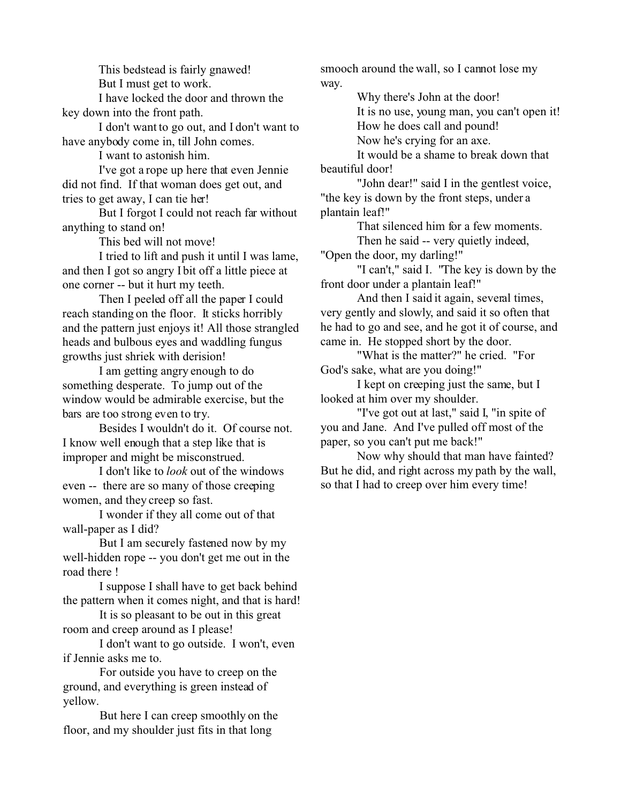This bedstead is fairly gnawed! But I must get to work.

I have locked the door and thrown the key down into the front path.

I don't want to go out, and I don't want to have anybody come in, till John comes.

I want to astonish him.

I've got a rope up here that even Jennie did not find. If that woman does get out, and tries to get away, I can tie her!

But I forgot I could not reach far without anything to stand on!

This bed will not move!

I tried to lift and push it until I was lame, and then I got so angry I bit off a little piece at one corner -- but it hurt my teeth.

Then I peeled off all the paper I could reach standing on the floor. It sticks horribly and the pattern just enjoys it! All those strangled heads and bulbous eyes and waddling fungus growths just shriek with derision!

I am getting angry enough to do something desperate. To jump out of the window would be admirable exercise, but the bars are too strong even to try.

Besides I wouldn't do it. Of course not. I know well enough that a step like that is improper and might be misconstrued.

I don't like to *look* out of the windows even -- there are so many of those creeping women, and they creep so fast.

I wonder if they all come out of that wall-paper as I did?

But I am securely fastened now by my well-hidden rope -- you don't get me out in the road there !

I suppose I shall have to get back behind the pattern when it comes night, and that is hard!

It is so pleasant to be out in this great room and creep around as I please!

I don't want to go outside. I won't, even if Jennie asks me to.

For outside you have to creep on the ground, and everything is green instead of yellow.

But here I can creep smoothly on the floor, and my shoulder just fits in that long

smooch around the wall, so I cannot lose my way.

> Why there's John at the door! It is no use, young man, you can't open it! How he does call and pound!

Now he's crying for an axe.

It would be a shame to break down that beautiful door!

"John dear!" said I in the gentlest voice, "the key is down by the front steps, under a plantain leaf!"

> That silenced him for a few moments. Then he said -- very quietly indeed,

"Open the door, my darling!"

"I can't," said I. "The key is down by the front door under a plantain leaf!"

And then I said it again, several times, very gently and slowly, and said it so often that he had to go and see, and he got it of course, and came in. He stopped short by the door.

"What is the matter?" he cried. "For God's sake, what are you doing!"

I kept on creeping just the same, but I looked at him over my shoulder.

"I've got out at last," said I, "in spite of you and Jane. And I've pulled off most of the paper, so you can't put me back!"

Now why should that man have fainted? But he did, and right across my path by the wall, so that I had to creep over him every time!